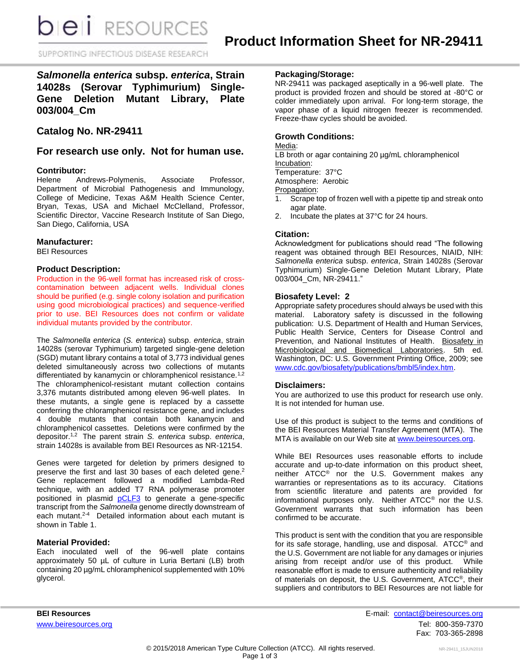**DIEI** RESOURCES

SUPPORTING INFECTIOUS DISEASE RESEARCH

# *Salmonella enterica* **subsp.** *enterica***, Strain 14028s (Serovar Typhimurium) Single-Gene Deletion Mutant Library, Plate 003/004\_Cm**

**Catalog No. NR-29411**

## **For research use only. Not for human use.**

#### **Contributor:**

Helene Andrews-Polymenis, Associate Professor, Department of Microbial Pathogenesis and Immunology, College of Medicine, Texas A&M Health Science Center, Bryan, Texas, USA and Michael McClelland, Professor, Scientific Director, Vaccine Research Institute of San Diego, San Diego, California, USA

#### **Manufacturer:**

BEI Resources

### **Product Description:**

Production in the 96-well format has increased risk of crosscontamination between adjacent wells. Individual clones should be purified (e.g. single colony isolation and purification using good microbiological practices) and sequence-verified prior to use. BEI Resources does not confirm or validate individual mutants provided by the contributor.

The *Salmonella enterica* (*S. enterica*) subsp. *enterica*, strain 14028s (serovar Typhimurium) targeted single-gene deletion (SGD) mutant library contains a total of 3,773 individual genes deleted simultaneously across two collections of mutants differentiated by kanamycin or chloramphenicol resistance.<sup>1,2</sup> The chloramphenicol-resistant mutant collection contains 3,376 mutants distributed among eleven 96-well plates. In these mutants, a single gene is replaced by a cassette conferring the chloramphenicol resistance gene, and includes 4 double mutants that contain both kanamycin and chloramphenicol cassettes. Deletions were confirmed by the depositor. 1,2 The parent strain *S. enterica* subsp. *enterica*, strain 14028s is available from BEI Resources as NR-12154.

Genes were targeted for deletion by primers designed to preserve the first and last 30 bases of each deleted gene.<sup>2</sup> Gene replacement followed a modified Lambda-Red technique, with an added T7 RNA polymerase promoter positioned in plasmid **[pCLF3](http://www.ncbi.nlm.nih.gov/nuccore/eu629213)** to generate a gene-specific transcript from the *Salmonella* genome directly downstream of each mutant.<sup>2-4</sup> Detailed information about each mutant is shown in Table 1.

### **Material Provided:**

Each inoculated well of the 96-well plate contains approximately 50 µL of culture in Luria Bertani (LB) broth containing 20 µg/mL chloramphenicol supplemented with 10% glycerol.

### **Packaging/Storage:**

NR-29411 was packaged aseptically in a 96-well plate. The product is provided frozen and should be stored at -80°C or colder immediately upon arrival. For long-term storage, the vapor phase of a liquid nitrogen freezer is recommended. Freeze-thaw cycles should be avoided.

### **Growth Conditions:**

Media:

LB broth or agar containing 20 µg/mL chloramphenicol Incubation:

Temperature: 37°C

Atmosphere: Aerobic

Propagation:

- 1. Scrape top of frozen well with a pipette tip and streak onto agar plate.
- 2. Incubate the plates at 37°C for 24 hours.

#### **Citation:**

Acknowledgment for publications should read "The following reagent was obtained through BEI Resources, NIAID, NIH: *Salmonella enterica* subsp. *enterica*, Strain 14028s (Serovar Typhimurium) Single-Gene Deletion Mutant Library, Plate 003/004\_Cm, NR-29411."

### **Biosafety Level: 2**

Appropriate safety procedures should always be used with this material. Laboratory safety is discussed in the following publication: U.S. Department of Health and Human Services, Public Health Service, Centers for Disease Control and Prevention, and National Institutes of Health. Biosafety in Microbiological and Biomedical Laboratories. 5th ed. Washington, DC: U.S. Government Printing Office, 2009; see [www.cdc.gov/biosafety/publications/bmbl5/index.htm.](http://www.cdc.gov/biosafety/publications/bmbl5/index.htm)

#### **Disclaimers:**

You are authorized to use this product for research use only. It is not intended for human use.

Use of this product is subject to the terms and conditions of the BEI Resources Material Transfer Agreement (MTA). The MTA is available on our Web site at [www.beiresources.org.](http://www.beiresources.org/)

While BEI Resources uses reasonable efforts to include accurate and up-to-date information on this product sheet, neither ATCC® nor the U.S. Government makes any warranties or representations as to its accuracy. Citations from scientific literature and patents are provided for informational purposes only. Neither ATCC® nor the U.S. Government warrants that such information has been confirmed to be accurate.

This product is sent with the condition that you are responsible for its safe storage, handling, use and disposal. ATCC® and the U.S. Government are not liable for any damages or injuries arising from receipt and/or use of this product. While reasonable effort is made to ensure authenticity and reliability of materials on deposit, the U.S. Government, ATCC®, their suppliers and contributors to BEI Resources are not liable for

**BEI Resources** E-mail: [contact@beiresources.org](mailto:contact@beiresources.org) [www.beiresources.org](http://www.beiresources.org/)Tel: 800-359-7370 Fax: 703-365-2898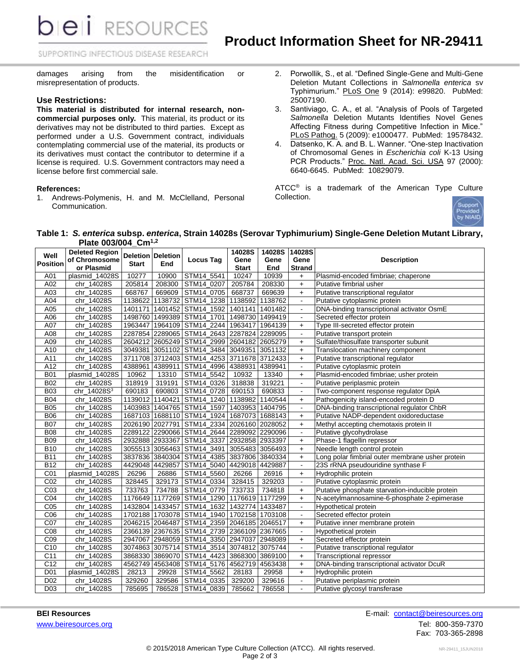**RESOURCES** 

SUPPORTING INFECTIOUS DISEASE RESEARCH

damages arising from the misidentification or misrepresentation of products.

#### **Use Restrictions:**

pei

**This material is distributed for internal research, noncommercial purposes only.** This material, its product or its derivatives may not be distributed to third parties. Except as performed under a U.S. Government contract, individuals contemplating commercial use of the material, its products or its derivatives must contact the contributor to determine if a license is required. U.S. Government contractors may need a license before first commercial sale.

#### **References:**

1. Andrews-Polymenis, H. and M. McClelland, Personal Communication.

- 2. Porwollik, S., et al. "Defined Single-Gene and Multi-Gene Deletion Mutant Collections in *Salmonella enterica* sv Typhimurium." PLoS One 9 (2014): e99820. PubMed: 25007190.
- 3. Santiviago, C. A., et al. "Analysis of Pools of Targeted *Salmonella* Deletion Mutants Identifies Novel Genes Affecting Fitness during Competitive Infection in Mice." PLoS Pathog. 5 (2009): e1000477. PubMed: 19578432.
- 4. Datsenko, K. A. and B. L. Wanner. "One-step Inactivation of Chromosomal Genes in *Escherichia coli* K-13 Using PCR Products." Proc. Natl. Acad. Sci. USA 97 (2000): 6640-6645. PubMed: 10829079.

ATCC<sup>®</sup> is a trademark of the American Type Culture Collection.



#### **Table 1:** *S. enterica* **subsp.** *enterica***, Strain 14028s (Serovar Typhimurium) Single-Gene Deletion Mutant Library, Plate 003/004\_Cm1,2**

| Well<br><b>Position</b> | <b>Deleted Region</b>   | <b>Start</b> | <b>Deletion Deletion</b><br>End | <b>Locus Tag</b>                           | 14028S          | 14028S  | 14028S                   |                                                  |
|-------------------------|-------------------------|--------------|---------------------------------|--------------------------------------------|-----------------|---------|--------------------------|--------------------------------------------------|
|                         | of Chromosome           |              |                                 |                                            | Gene            | Gene    | Gene                     | <b>Description</b>                               |
|                         | or Plasmid              |              |                                 |                                            | <b>Start</b>    | End     | <b>Strand</b>            |                                                  |
| A01                     | plasmid_14028S          | 10277        | 10900                           | STM14_5541                                 | 10247           | 10939   | +                        | Plasmid-encoded fimbriae; chaperone              |
| A02                     | chr 14028S              | 205814       | 208300                          | STM14 0207                                 | 205784          | 208330  | $\ddot{}$                | Putative fimbrial usher                          |
| A03                     | chr 14028S              | 668767       | 669609                          | STM14_0705                                 | 668737          | 669639  | $\ddot{}$                | Putative transcriptional regulator               |
| A04                     | chr_14028S              | 1138622      |                                 | 1138732 STM14_1238                         | 1138592         | 1138762 | $\blacksquare$           | Putative cytoplasmic protein                     |
| A05                     | chr_14028S              | 1401171      | 1401452                         | STM14 1592                                 | 1401141         | 1401482 | $\blacksquare$           | DNA-binding transcriptional activator OsmE       |
| A06                     | chr 14028S              |              | 1498760 1499389                 | STM14_1701                                 | 1498730         | 1499419 | $\blacksquare$           | Secreted effector protein                        |
| A07                     | chr 14028S              |              | 1963447 1964109                 | STM14_2244 1963417                         |                 | 1964139 | $+$                      | Type III-secreted effector protein               |
| A08                     | chr_14028S              |              |                                 | 2287854 2289065 STM14_2643 2287824         |                 | 2289095 | $\blacksquare$           | Putative transport protein                       |
| A09                     | chr_14028S              |              | 2604212 2605249                 | STM14_2999 2604182                         |                 | 2605279 | +                        | Sulfate/thiosulfate transporter subunit          |
| A10                     | chr 14028S              |              | 3049381 3051102                 | STM14_3484                                 | 3049351         | 3051132 | $\ddot{}$                | Translocation machinery component                |
| A11                     | chr 14028S              |              | 3711708 3712403                 | STM14_4253 3711678 3712433                 |                 |         | $\ddot{}$                | Putative transcriptional regulator               |
| A12                     | chr 14028S              | 4388961      | 4389911                         | STM14 4996                                 | 4388931         | 4389941 | $\blacksquare$           | Putative cytoplasmic protein                     |
| <b>B01</b>              | plasmid_14028S          | 10962        | 13310                           | STM14_5542                                 | 10932           | 13340   | $\ddot{}$                | Plasmid-encoded fimbriae; usher protein          |
| <b>B02</b>              | chr_14028S              | 318919       | 319191                          | STM14_0326                                 | 318838          | 319221  | $\blacksquare$           | Putative periplasmic protein                     |
| <b>B03</b>              | chr_14028S <sup>3</sup> | 690183       | 690803                          | STM14_0728                                 | 690153          | 690833  | $\blacksquare$           | Two-component response regulator DpiA            |
| <b>B04</b>              | chr 14028S              | 1139012      | 1140421                         | STM14_1240                                 | 1138982         | 1140544 | $+$                      | Pathogenicity island-encoded protein D           |
| <b>B05</b>              | chr 14028S              |              |                                 | 1403983 1404765 STM14 1597                 | 1403953         | 1404795 | $\blacksquare$           | DNA-binding transcriptional regulator ChbR       |
| <b>B06</b>              | chr_14028S              |              | 1687103 1688110                 | STM14_1924                                 | 1687073 1688143 |         | $\ddot{}$                | Putative NADP-dependent oxidoreductase           |
| <b>B07</b>              | chr_14028S              |              | 2026190 2027791                 | STM14_2334                                 | 2026160 2028052 |         | $\ddot{}$                | Methyl accepting chemotaxis protein II           |
| <b>B08</b>              | chr 14028S              |              |                                 | 2289122 2290066 STM14_2644                 | 2289092 2290096 |         | $\blacksquare$           | Putative glycohydrolase                          |
| <b>B09</b>              | chr_14028S              |              | 2932888 2933367                 | STM14_3337                                 | 2932858         | 2933397 | $\ddot{}$                | Phase-1 flagellin repressor                      |
| <b>B10</b>              | chr 14028S              |              |                                 | 3055513 3056463 STM14 3491                 | 3055483 3056493 |         | $+$                      | Needle length control protein                    |
| <b>B11</b>              | chr_14028S              |              |                                 | 3837836 3840304 STM14_4385 3837806 3840334 |                 |         | $\ddot{}$                | Long polar fimbrial outer membrane usher protein |
| <b>B12</b>              | chr 14028S              |              | 4429048 4429857                 | STM14 5040                                 | 4429018 4429887 |         | $\blacksquare$           | 23S rRNA pseudouridine synthase F                |
| C <sub>01</sub>         | plasmid 14028S          | 26296        | 26886                           | STM14_5560                                 | 26266           | 26916   | $\ddot{}$                | Hydrophilic protein                              |
| CO <sub>2</sub>         | chr 14028S              | 328445       | 329173                          | STM14 0334                                 | 328415          | 329203  | $\blacksquare$           | Putative cytoplasmic protein                     |
| CO <sub>3</sub>         | chr 14028S              | 733763       | 734788                          | STM14 0779                                 | 733733          | 734818  | $\ddot{}$                | Putative phosphate starvation-inducible protein  |
| CO <sub>4</sub>         | chr_14028S              | 1176649      | 1177269                         | STM14_1290                                 | 1176619         | 1177299 | $\ddot{}$                | N-acetylmannosamine-6-phosphate 2-epimerase      |
| C <sub>05</sub>         | chr 14028S              |              |                                 | 1432804 1433457 STM14_1632 1432774         |                 | 1433487 | $\blacksquare$           | Hypothetical protein                             |
| C <sub>06</sub>         | chr_14028S              |              |                                 | 1702188 1703078 STM14_1940 1702158 1703108 |                 |         | $\overline{\phantom{a}}$ | Secreted effector protein                        |
| CO7                     | chr_14028S              |              | 2046215 2046487                 | STM14_2359 2046185 2046517                 |                 |         | +                        | Putative inner membrane protein                  |
| C <sub>08</sub>         | chr 14028S              |              | 2366139 2367635                 | STM14 2739 2366109 2367665                 |                 |         | $\Box$                   | Hypothetical protein                             |
| C <sub>09</sub>         | chr_14028S              | 2947067      | 2948059                         | STM14_3350                                 | 2947037         | 2948089 | $+$                      | Secreted effector protein                        |
| C10                     | chr 14028S              |              | 3074863 3075714                 | STM14_3514                                 | 3074812 3075744 |         | $\overline{\phantom{a}}$ | Putative transcriptional regulator               |
| C11                     | chr 14028S              | 3868330      |                                 | 3869070 STM14 4423                         | 3868300         | 3869100 | $\ddot{}$                | <b>Transcriptional repressor</b>                 |
| C <sub>12</sub>         | chr 14028S              | 4562749      | 4563408                         | STM14_5176                                 | 4562719         | 4563438 | +                        | DNA-binding transcriptional activator DcuR       |
| D <sub>01</sub>         | plasmid_14028S          | 28213        | 29928                           | STM14_5562                                 | 28183           | 29958   | $\ddot{}$                | Hydrophilic protein                              |
| D <sub>02</sub>         | chr 14028S              | 329260       | 329586                          | STM14 0335                                 | 329200          | 329616  | $\blacksquare$           | Putative periplasmic protein                     |
| $\overline{D03}$        | chr 14028S              | 785695       | 786528                          | STM14 0839                                 | 785662          | 786558  | $\overline{\phantom{a}}$ | Putative glycosyl transferase                    |

**BEI Resources** E-mail: [contact@beiresources.org](mailto:contact@beiresources.org) [www.beiresources.org](http://www.beiresources.org/)Tel: 800-359-7370 Fax: 703-365-2898